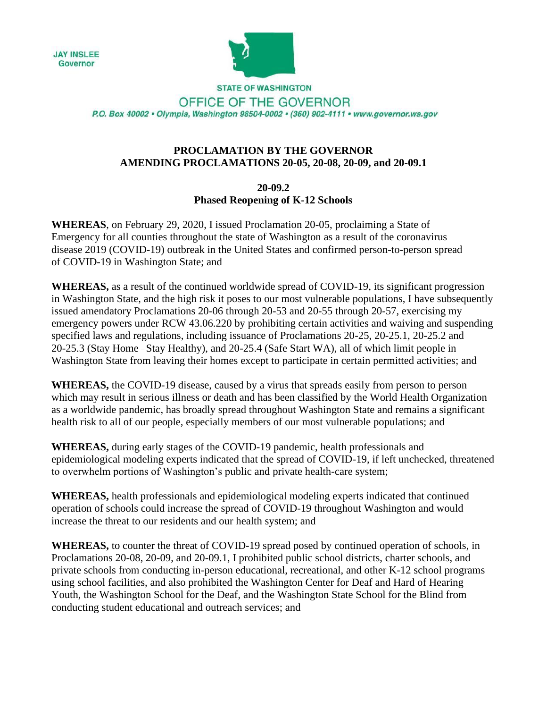**JAY INSLEE** Governor



**STATE OF WASHINGTON** OFFICE OF THE GOVERNOR P.O. Box 40002 · Olympia, Washington 98504-0002 · (360) 902-4111 · www.governor.wa.gov

## **PROCLAMATION BY THE GOVERNOR AMENDING PROCLAMATIONS 20-05, 20-08, 20-09, and 20-09.1**

**20-09.2 Phased Reopening of K-12 Schools**

**WHEREAS**, on February 29, 2020, I issued Proclamation 20-05, proclaiming a State of Emergency for all counties throughout the state of Washington as a result of the coronavirus disease 2019 (COVID-19) outbreak in the United States and confirmed person-to-person spread of COVID-19 in Washington State; and

**WHEREAS,** as a result of the continued worldwide spread of COVID-19, its significant progression in Washington State, and the high risk it poses to our most vulnerable populations, I have subsequently issued amendatory Proclamations 20-06 through 20-53 and 20-55 through 20-57, exercising my emergency powers under RCW 43.06.220 by prohibiting certain activities and waiving and suspending specified laws and regulations, including issuance of Proclamations 20-25, 20-25.1, 20-25.2 and 20-25.3 (Stay Home – Stay Healthy), and 20-25.4 (Safe Start WA), all of which limit people in Washington State from leaving their homes except to participate in certain permitted activities; and

**WHEREAS,** the COVID-19 disease, caused by a virus that spreads easily from person to person which may result in serious illness or death and has been classified by the World Health Organization as a worldwide pandemic, has broadly spread throughout Washington State and remains a significant health risk to all of our people, especially members of our most vulnerable populations; and

**WHEREAS,** during early stages of the COVID-19 pandemic, health professionals and epidemiological modeling experts indicated that the spread of COVID-19, if left unchecked, threatened to overwhelm portions of Washington's public and private health-care system;

**WHEREAS,** health professionals and epidemiological modeling experts indicated that continued operation of schools could increase the spread of COVID-19 throughout Washington and would increase the threat to our residents and our health system; and

**WHEREAS,** to counter the threat of COVID-19 spread posed by continued operation of schools, in Proclamations 20-08, 20-09, and 20-09.1, I prohibited public school districts, charter schools, and private schools from conducting in-person educational, recreational, and other K-12 school programs using school facilities, and also prohibited the Washington Center for Deaf and Hard of Hearing Youth, the Washington School for the Deaf, and the Washington State School for the Blind from conducting student educational and outreach services; and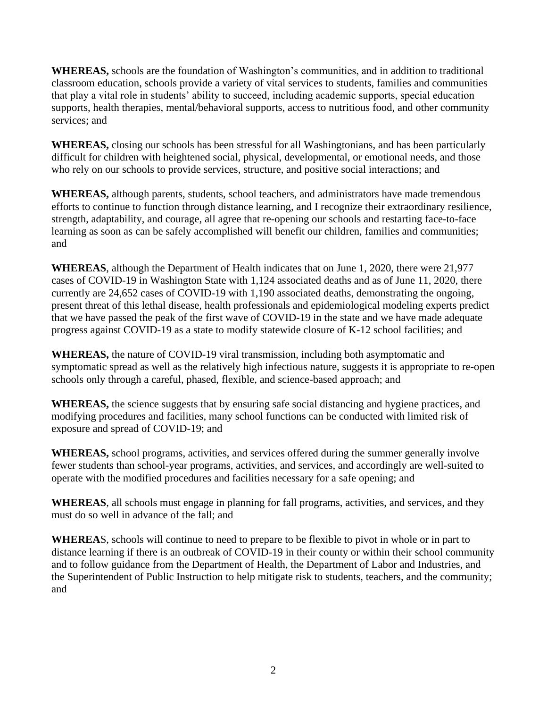**WHEREAS,** schools are the foundation of Washington's communities, and in addition to traditional classroom education, schools provide a variety of vital services to students, families and communities that play a vital role in students' ability to succeed, including academic supports, special education supports, health therapies, mental/behavioral supports, access to nutritious food, and other community services; and

**WHEREAS,** closing our schools has been stressful for all Washingtonians, and has been particularly difficult for children with heightened social, physical, developmental, or emotional needs, and those who rely on our schools to provide services, structure, and positive social interactions; and

**WHEREAS,** although parents, students, school teachers, and administrators have made tremendous efforts to continue to function through distance learning, and I recognize their extraordinary resilience, strength, adaptability, and courage, all agree that re-opening our schools and restarting face-to-face learning as soon as can be safely accomplished will benefit our children, families and communities; and

**WHEREAS**, although the Department of Health indicates that on June 1, 2020, there were 21,977 cases of COVID-19 in Washington State with 1,124 associated deaths and as of June 11, 2020, there currently are 24,652 cases of COVID-19 with 1,190 associated deaths, demonstrating the ongoing, present threat of this lethal disease, health professionals and epidemiological modeling experts predict that we have passed the peak of the first wave of COVID-19 in the state and we have made adequate progress against COVID-19 as a state to modify statewide closure of K-12 school facilities; and

**WHEREAS,** the nature of COVID-19 viral transmission, including both asymptomatic and symptomatic spread as well as the relatively high infectious nature, suggests it is appropriate to re-open schools only through a careful, phased, flexible, and science-based approach; and

**WHEREAS,** the science suggests that by ensuring safe social distancing and hygiene practices, and modifying procedures and facilities, many school functions can be conducted with limited risk of exposure and spread of COVID-19; and

**WHEREAS,** school programs, activities, and services offered during the summer generally involve fewer students than school-year programs, activities, and services, and accordingly are well-suited to operate with the modified procedures and facilities necessary for a safe opening; and

**WHEREAS**, all schools must engage in planning for fall programs, activities, and services, and they must do so well in advance of the fall; and

**WHEREA**S, schools will continue to need to prepare to be flexible to pivot in whole or in part to distance learning if there is an outbreak of COVID-19 in their county or within their school community and to follow guidance from the Department of Health, the Department of Labor and Industries, and the Superintendent of Public Instruction to help mitigate risk to students, teachers, and the community; and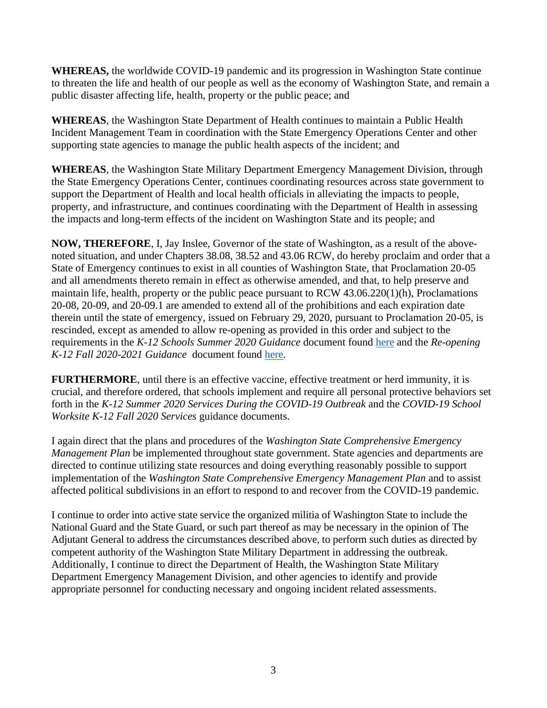**WHEREAS,** the worldwide COVID-19 pandemic and its progression in Washington State continue to threaten the life and health of our people as well as the economy of Washington State, and remain a public disaster affecting life, health, property or the public peace; and

**WHEREAS**, the Washington State Department of Health continues to maintain a Public Health Incident Management Team in coordination with the State Emergency Operations Center and other supporting state agencies to manage the public health aspects of the incident; and

**WHEREAS**, the Washington State Military Department Emergency Management Division, through the State Emergency Operations Center, continues coordinating resources across state government to support the Department of Health and local health officials in alleviating the impacts to people, property, and infrastructure, and continues coordinating with the Department of Health in assessing the impacts and long-term effects of the incident on Washington State and its people; and

**NOW, THEREFORE**, I, Jay Inslee, Governor of the state of Washington, as a result of the abovenoted situation, and under Chapters 38.08, 38.52 and 43.06 RCW, do hereby proclaim and order that a State of Emergency continues to exist in all counties of Washington State, that Proclamation 20-05 and all amendments thereto remain in effect as otherwise amended, and that, to help preserve and maintain life, health, property or the public peace pursuant to RCW 43.06.220(1)(h), Proclamations 20-08, 20-09, and 20-09.1 are amended to extend all of the prohibitions and each expiration date therein until the state of emergency, issued on February 29, 2020, pursuant to Proclamation 20-05, is rescinded, except as amended to allow re-opening as provided in this order and subject to the requirements in the *K-12 Schools Summer 2020 Guidance* document found [here](https://www.governor.wa.gov/sites/default/files/proclamations/DOH%20Guidance%20K-12%20Schools%20Summer.pdf) and the *Re-opening K-12 Fall 2020-2021 Guidance* document found [here.](https://www.governor.wa.gov/sites/default/files/proclamations/DOH%20Guidance%20K-12%20Schools%20Fall.pdf)

**FURTHERMORE**, until there is an effective vaccine, effective treatment or herd immunity, it is crucial, and therefore ordered, that schools implement and require all personal protective behaviors set forth in the *K-12 Summer 2020 Services During the COVID-19 Outbreak* and the *COVID-19 School Worksite K-12 Fall 2020 Services* guidance documents.

I again direct that the plans and procedures of the *Washington State Comprehensive Emergency Management Plan* be implemented throughout state government. State agencies and departments are directed to continue utilizing state resources and doing everything reasonably possible to support implementation of the *Washington State Comprehensive Emergency Management Plan* and to assist affected political subdivisions in an effort to respond to and recover from the COVID-19 pandemic.

I continue to order into active state service the organized militia of Washington State to include the National Guard and the State Guard, or such part thereof as may be necessary in the opinion of The Adjutant General to address the circumstances described above, to perform such duties as directed by competent authority of the Washington State Military Department in addressing the outbreak. Additionally, I continue to direct the Department of Health, the Washington State Military Department Emergency Management Division, and other agencies to identify and provide appropriate personnel for conducting necessary and ongoing incident related assessments.